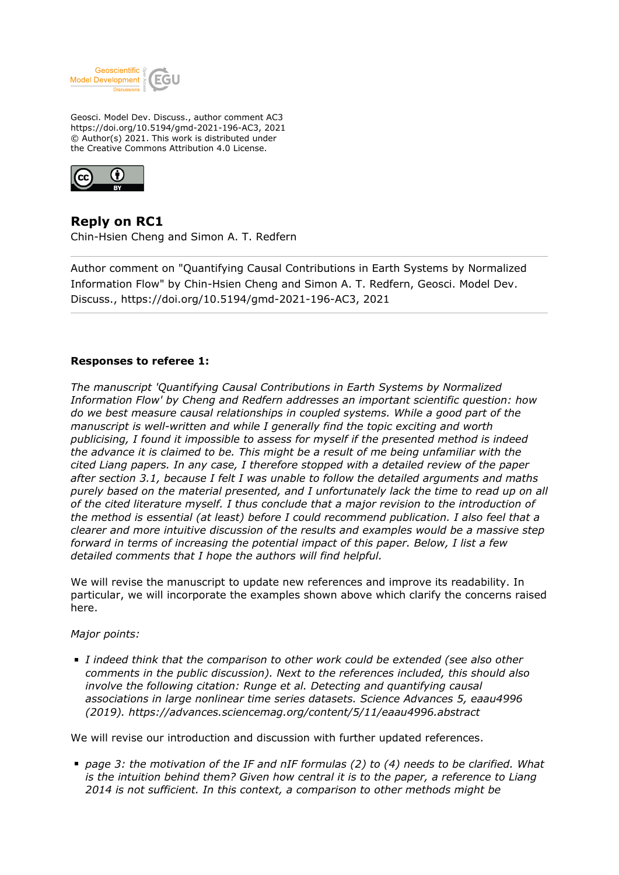

Geosci. Model Dev. Discuss., author comment AC3 https://doi.org/10.5194/gmd-2021-196-AC3, 2021 © Author(s) 2021. This work is distributed under the Creative Commons Attribution 4.0 License.



**Reply on RC1** Chin-Hsien Cheng and Simon A. T. Redfern

Author comment on "Quantifying Causal Contributions in Earth Systems by Normalized Information Flow" by Chin-Hsien Cheng and Simon A. T. Redfern, Geosci. Model Dev. Discuss., https://doi.org/10.5194/gmd-2021-196-AC3, 2021

### **Responses to referee 1:**

*The manuscript 'Quantifying Causal Contributions in Earth Systems by Normalized Information Flow' by Cheng and Redfern addresses an important scientific question: how do we best measure causal relationships in coupled systems. While a good part of the manuscript is well-written and while I generally find the topic exciting and worth publicising, I found it impossible to assess for myself if the presented method is indeed the advance it is claimed to be. This might be a result of me being unfamiliar with the cited Liang papers. In any case, I therefore stopped with a detailed review of the paper after section 3.1, because I felt I was unable to follow the detailed arguments and maths purely based on the material presented, and I unfortunately lack the time to read up on all of the cited literature myself. I thus conclude that a major revision to the introduction of the method is essential (at least) before I could recommend publication. I also feel that a clearer and more intuitive discussion of the results and examples would be a massive step forward in terms of increasing the potential impact of this paper. Below, I list a few detailed comments that I hope the authors will find helpful.*

We will revise the manuscript to update new references and improve its readability. In particular, we will incorporate the examples shown above which clarify the concerns raised here.

*Major points:*

*I indeed think that the comparison to other work could be extended (see also other comments in the public discussion). Next to the references included, this should also involve the following citation: Runge et al. Detecting and quantifying causal associations in large nonlinear time series datasets. Science Advances 5, eaau4996 (2019). https://advances.sciencemag.org/content/5/11/eaau4996.abstract*

We will revise our introduction and discussion with further updated references.

*page 3: the motivation of the IF and nIF formulas (2) to (4) needs to be clarified. What is the intuition behind them? Given how central it is to the paper, a reference to Liang 2014 is not sufficient. In this context, a comparison to other methods might be*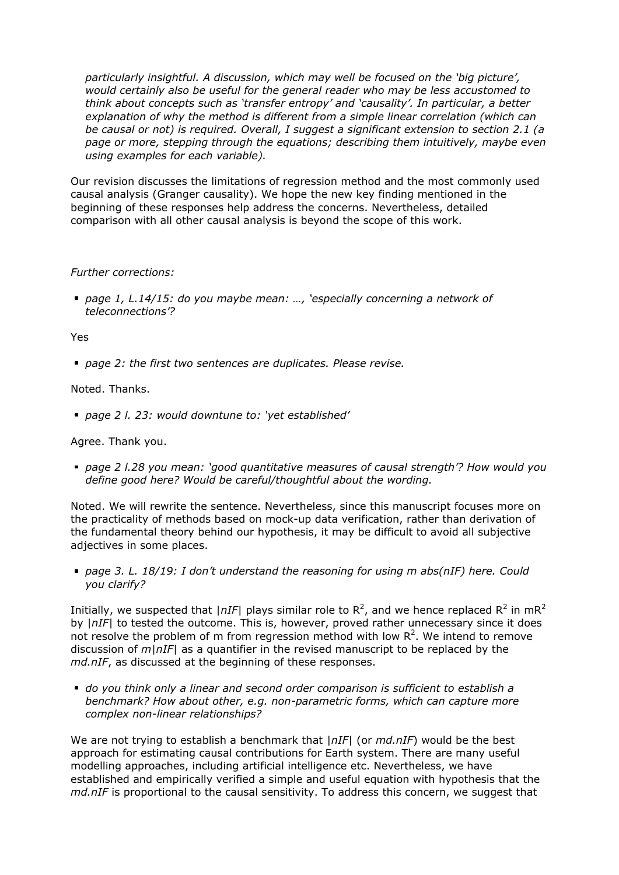*particularly insightful. A discussion, which may well be focused on the 'big picture', would certainly also be useful for the general reader who may be less accustomed to think about concepts such as 'transfer entropy' and 'causality'. In particular, a better explanation of why the method is different from a simple linear correlation (which can be causal or not) is required. Overall, I suggest a significant extension to section 2.1 (a page or more, stepping through the equations; describing them intuitively, maybe even using examples for each variable).*

Our revision discusses the limitations of regression method and the most commonly used causal analysis (Granger causality). We hope the new key finding mentioned in the beginning of these responses help address the concerns. Nevertheless, detailed comparison with all other causal analysis is beyond the scope of this work.

### *Further corrections:*

*page 1, L.14/15: do you maybe mean: …, 'especially concerning a network of teleconnections'?*

### Yes

*page 2: the first two sentences are duplicates. Please revise.*

# Noted. Thanks.

*page 2 l. 23: would downtune to: 'yet established'*

## Agree. Thank you.

*page 2 l.28 you mean: 'good quantitative measures of causal strength'? How would you define good here? Would be careful/thoughtful about the wording.*

Noted. We will rewrite the sentence. Nevertheless, since this manuscript focuses more on the practicality of methods based on mock-up data verification, rather than derivation of the fundamental theory behind our hypothesis, it may be difficult to avoid all subjective adjectives in some places.

*page 3. L. 18/19: I don't understand the reasoning for using m abs(nIF) here. Could you clarify?*

Initially, we suspected that  $|nIF|$  plays similar role to  $R^2$ , and we hence replaced  $R^2$  in m $R^2$ by |*nIF*| to tested the outcome. This is, however, proved rather unnecessary since it does not resolve the problem of m from regression method with low  $R^2$ . We intend to remove discussion of *m*|*nIF*| as a quantifier in the revised manuscript to be replaced by the *md.nIF*, as discussed at the beginning of these responses.

*do you think only a linear and second order comparison is sufficient to establish a benchmark? How about other, e.g. non-parametric forms, which can capture more complex non-linear relationships?*

We are not trying to establish a benchmark that |*nIF*| (or *md.nIF*) would be the best approach for estimating causal contributions for Earth system. There are many useful modelling approaches, including artificial intelligence etc. Nevertheless, we have established and empirically verified a simple and useful equation with hypothesis that the *md.nIF* is proportional to the causal sensitivity. To address this concern, we suggest that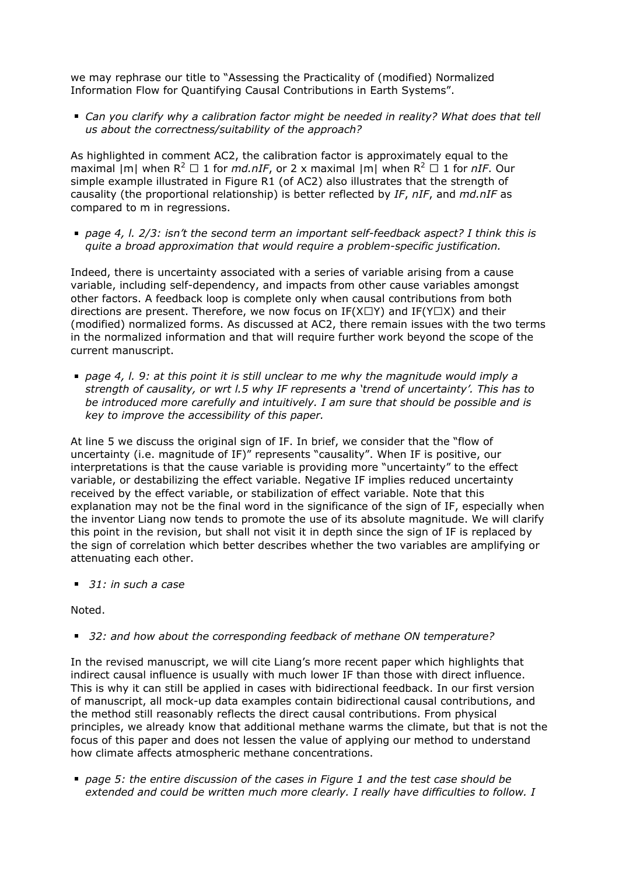we may rephrase our title to "Assessing the Practicality of (modified) Normalized Information Flow for Quantifying Causal Contributions in Earth Systems".

*Can you clarify why a calibration factor might be needed in reality? What does that tell us about the correctness/suitability of the approach?*

As highlighted in comment AC2, the calibration factor is approximately equal to the maximal  $|m|$  when  $R^2 \square 1$  for  $md.nIF$ , or 2 x maximal  $|m|$  when  $R^2 \square 1$  for  $nIF$ . Our simple example illustrated in Figure R1 (of AC2) also illustrates that the strength of causality (the proportional relationship) is better reflected by *IF*, *nIF*, and *md.nIF* as compared to m in regressions.

*page 4, l. 2/3: isn't the second term an important self-feedback aspect? I think this is quite a broad approximation that would require a problem-specific justification.*

Indeed, there is uncertainty associated with a series of variable arising from a cause variable, including self-dependency, and impacts from other cause variables amongst other factors. A feedback loop is complete only when causal contributions from both directions are present. Therefore, we now focus on IF( $X\Box Y$ ) and IF( $Y\Box X$ ) and their (modified) normalized forms. As discussed at AC2, there remain issues with the two terms in the normalized information and that will require further work beyond the scope of the current manuscript.

*page 4, l. 9: at this point it is still unclear to me why the magnitude would imply a strength of causality, or wrt l.5 why IF represents a 'trend of uncertainty'. This has to be introduced more carefully and intuitively. I am sure that should be possible and is key to improve the accessibility of this paper.*

At line 5 we discuss the original sign of IF. In brief, we consider that the "flow of uncertainty (i.e. magnitude of IF)" represents "causality". When IF is positive, our interpretations is that the cause variable is providing more "uncertainty" to the effect variable, or destabilizing the effect variable. Negative IF implies reduced uncertainty received by the effect variable, or stabilization of effect variable. Note that this explanation may not be the final word in the significance of the sign of IF, especially when the inventor Liang now tends to promote the use of its absolute magnitude. We will clarify this point in the revision, but shall not visit it in depth since the sign of IF is replaced by the sign of correlation which better describes whether the two variables are amplifying or attenuating each other.

 *31: in such a case*

Noted.

 *32: and how about the corresponding feedback of methane ON temperature?*

In the revised manuscript, we will cite Liang's more recent paper which highlights that indirect causal influence is usually with much lower IF than those with direct influence. This is why it can still be applied in cases with bidirectional feedback. In our first version of manuscript, all mock-up data examples contain bidirectional causal contributions, and the method still reasonably reflects the direct causal contributions. From physical principles, we already know that additional methane warms the climate, but that is not the focus of this paper and does not lessen the value of applying our method to understand how climate affects atmospheric methane concentrations.

*page 5: the entire discussion of the cases in Figure 1 and the test case should be extended and could be written much more clearly. I really have difficulties to follow. I*